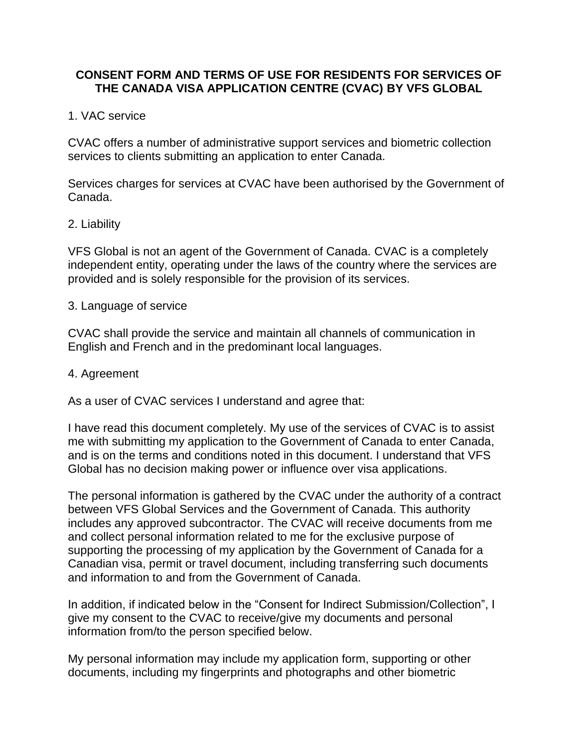# **CONSENT FORM AND TERMS OF USE FOR RESIDENTS FOR SERVICES OF THE CANADA VISA APPLICATION CENTRE (CVAC) BY VFS GLOBAL**

# 1. VAC service

CVAC offers a number of administrative support services and biometric collection services to clients submitting an application to enter Canada.

Services charges for services at CVAC have been authorised by the Government of Canada.

### 2. Liability

VFS Global is not an agent of the Government of Canada. CVAC is a completely independent entity, operating under the laws of the country where the services are provided and is solely responsible for the provision of its services.

### 3. Language of service

CVAC shall provide the service and maintain all channels of communication in English and French and in the predominant local languages.

### 4. Agreement

As a user of CVAC services I understand and agree that:

I have read this document completely. My use of the services of CVAC is to assist me with submitting my application to the Government of Canada to enter Canada, and is on the terms and conditions noted in this document. I understand that VFS Global has no decision making power or influence over visa applications.

The personal information is gathered by the CVAC under the authority of a contract between VFS Global Services and the Government of Canada. This authority includes any approved subcontractor. The CVAC will receive documents from me and collect personal information related to me for the exclusive purpose of supporting the processing of my application by the Government of Canada for a Canadian visa, permit or travel document, including transferring such documents and information to and from the Government of Canada.

In addition, if indicated below in the "Consent for Indirect Submission/Collection", I give my consent to the CVAC to receive/give my documents and personal information from/to the person specified below.

My personal information may include my application form, supporting or other documents, including my fingerprints and photographs and other biometric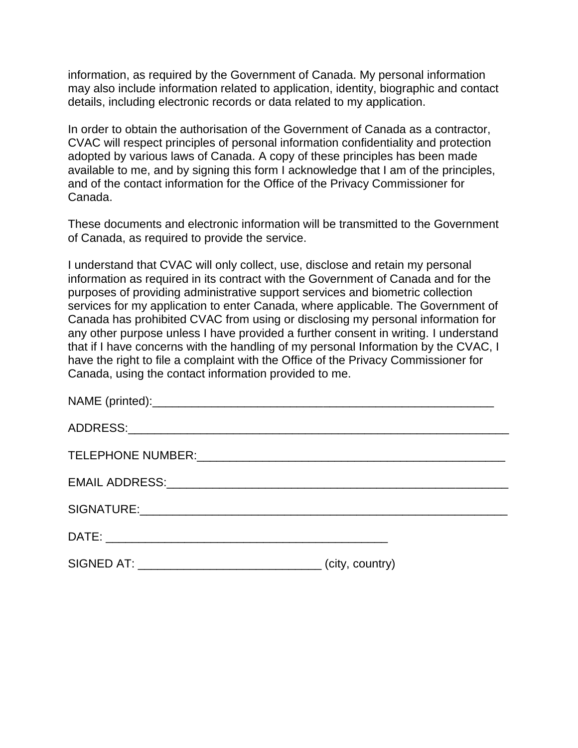information, as required by the Government of Canada. My personal information may also include information related to application, identity, biographic and contact details, including electronic records or data related to my application.

In order to obtain the authorisation of the Government of Canada as a contractor, CVAC will respect principles of personal information confidentiality and protection adopted by various laws of Canada. A copy of these principles has been made available to me, and by signing this form I acknowledge that I am of the principles, and of the contact information for the Office of the Privacy Commissioner for Canada.

These documents and electronic information will be transmitted to the Government of Canada, as required to provide the service.

I understand that CVAC will only collect, use, disclose and retain my personal information as required in its contract with the Government of Canada and for the purposes of providing administrative support services and biometric collection services for my application to enter Canada, where applicable. The Government of Canada has prohibited CVAC from using or disclosing my personal information for any other purpose unless I have provided a further consent in writing. I understand that if I have concerns with the handling of my personal Information by the CVAC, I have the right to file a complaint with the Office of the Privacy Commissioner for Canada, using the contact information provided to me.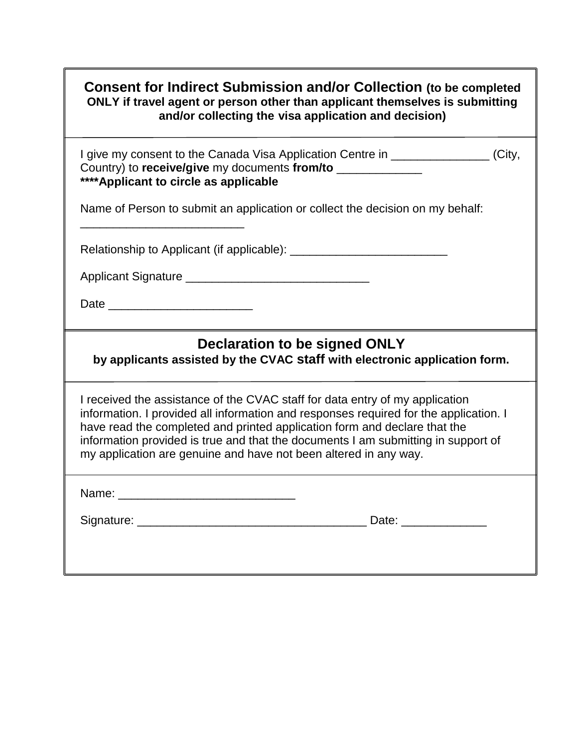| <b>Consent for Indirect Submission and/or Collection (to be completed</b><br>ONLY if travel agent or person other than applicant themselves is submitting<br>and/or collecting the visa application and decision)                                                                                                                                                                                           |  |
|-------------------------------------------------------------------------------------------------------------------------------------------------------------------------------------------------------------------------------------------------------------------------------------------------------------------------------------------------------------------------------------------------------------|--|
| I give my consent to the Canada Visa Application Centre in ________________(City,<br>Country) to receive/give my documents from/to ______________<br>**** Applicant to circle as applicable                                                                                                                                                                                                                 |  |
| Name of Person to submit an application or collect the decision on my behalf:                                                                                                                                                                                                                                                                                                                               |  |
|                                                                                                                                                                                                                                                                                                                                                                                                             |  |
|                                                                                                                                                                                                                                                                                                                                                                                                             |  |
|                                                                                                                                                                                                                                                                                                                                                                                                             |  |
| Declaration to be signed ONLY<br>by applicants assisted by the CVAC staff with electronic application form.                                                                                                                                                                                                                                                                                                 |  |
| I received the assistance of the CVAC staff for data entry of my application<br>information. I provided all information and responses required for the application. I<br>have read the completed and printed application form and declare that the<br>information provided is true and that the documents I am submitting in support of<br>my application are genuine and have not been altered in any way. |  |
| Name:                                                                                                                                                                                                                                                                                                                                                                                                       |  |
| Date: ________________                                                                                                                                                                                                                                                                                                                                                                                      |  |
|                                                                                                                                                                                                                                                                                                                                                                                                             |  |

f